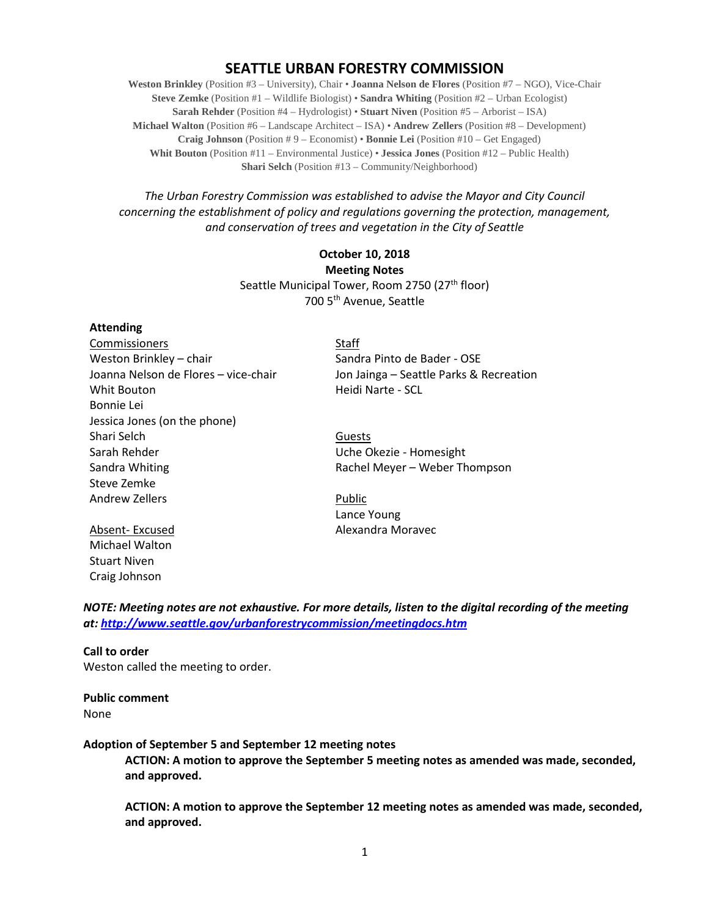# **SEATTLE URBAN FORESTRY COMMISSION**

**Weston Brinkley** (Position #3 – University), Chair • **Joanna Nelson de Flores** (Position #7 – NGO), Vice-Chair **Steve Zemke** (Position #1 – Wildlife Biologist) • **Sandra Whiting** (Position #2 – Urban Ecologist) **Sarah Rehder** (Position #4 – Hydrologist) • **Stuart Niven** (Position #5 – Arborist – ISA) **Michael Walton** (Position #6 – Landscape Architect – ISA) • **Andrew Zellers** (Position #8 – Development) **Craig Johnson** (Position # 9 – Economist) • **Bonnie Lei** (Position #10 – Get Engaged) **Whit Bouton** (Position #11 – Environmental Justice) • **Jessica Jones** (Position #12 – Public Health) **Shari Selch** (Position #13 – Community/Neighborhood)

*The Urban Forestry Commission was established to advise the Mayor and City Council concerning the establishment of policy and regulations governing the protection, management, and conservation of trees and vegetation in the City of Seattle*

# **October 10, 2018 Meeting Notes** Seattle Municipal Tower, Room 2750 (27<sup>th</sup> floor) 700 5th Avenue, Seattle

#### **Attending**

Commissioners Staff Weston Brinkley – chair Sandra Pinto de Bader - OSE Whit Bouton **Market Communist Communist Communist Communist Communist Communist Communist Communist Communist Communist Communist Communist Communist Communist Communist Communist Communist Communist Communist Communist Co** Bonnie Lei Jessica Jones (on the phone) Shari Selch Guests Sarah Rehder **National Sarah Rehder Uche Okezie - Homesight** Sandra Whiting The Communist Controller and Rachel Meyer – Weber Thompson Steve Zemke Andrew Zellers **Public** 

Michael Walton Stuart Niven Craig Johnson

Joanna Nelson de Flores – vice-chair Jon Jainga – Seattle Parks & Recreation

Lance Young Absent-Excused **Alexandra Moravec** 

*NOTE: Meeting notes are not exhaustive. For more details, listen to the digital recording of the meeting at:<http://www.seattle.gov/urbanforestrycommission/meetingdocs.htm>*

### **Call to order**  Weston called the meeting to order.

**Public comment** None

**Adoption of September 5 and September 12 meeting notes** 

**ACTION: A motion to approve the September 5 meeting notes as amended was made, seconded, and approved.**

**ACTION: A motion to approve the September 12 meeting notes as amended was made, seconded, and approved.**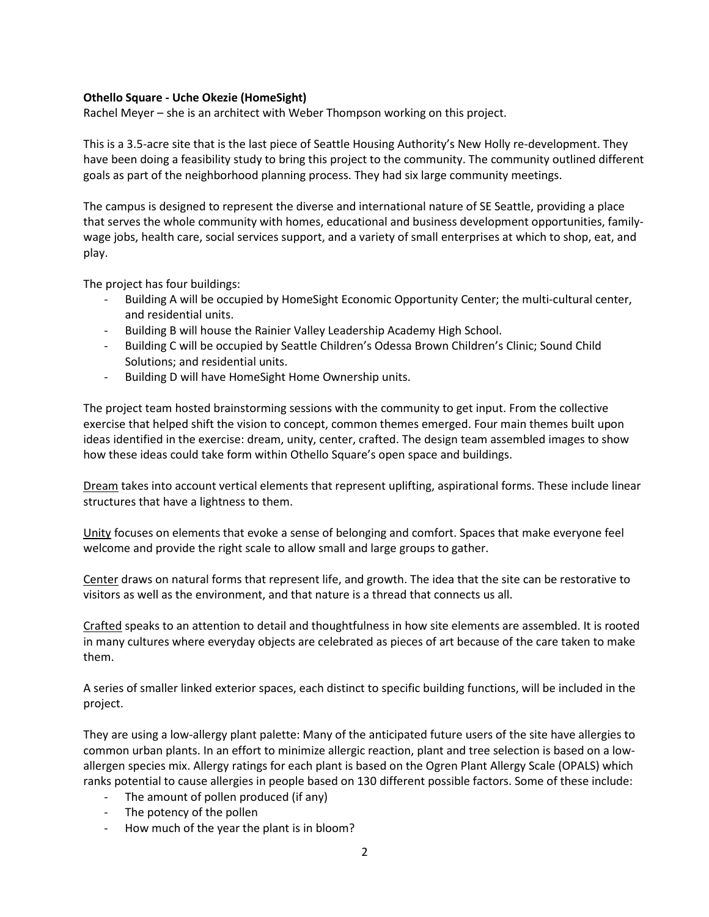### **Othello Square - Uche Okezie (HomeSight)**

Rachel Meyer – she is an architect with Weber Thompson working on this project.

This is a 3.5-acre site that is the last piece of Seattle Housing Authority's New Holly re-development. They have been doing a feasibility study to bring this project to the community. The community outlined different goals as part of the neighborhood planning process. They had six large community meetings.

The campus is designed to represent the diverse and international nature of SE Seattle, providing a place that serves the whole community with homes, educational and business development opportunities, familywage jobs, health care, social services support, and a variety of small enterprises at which to shop, eat, and play.

The project has four buildings:

- Building A will be occupied by HomeSight Economic Opportunity Center; the multi-cultural center, and residential units.
- Building B will house the Rainier Valley Leadership Academy High School.
- Building C will be occupied by Seattle Children's Odessa Brown Children's Clinic; Sound Child Solutions; and residential units.
- Building D will have HomeSight Home Ownership units.

The project team hosted brainstorming sessions with the community to get input. From the collective exercise that helped shift the vision to concept, common themes emerged. Four main themes built upon ideas identified in the exercise: dream, unity, center, crafted. The design team assembled images to show how these ideas could take form within Othello Square's open space and buildings.

Dream takes into account vertical elements that represent uplifting, aspirational forms. These include linear structures that have a lightness to them.

Unity focuses on elements that evoke a sense of belonging and comfort. Spaces that make everyone feel welcome and provide the right scale to allow small and large groups to gather.

Center draws on natural forms that represent life, and growth. The idea that the site can be restorative to visitors as well as the environment, and that nature is a thread that connects us all.

Crafted speaks to an attention to detail and thoughtfulness in how site elements are assembled. It is rooted in many cultures where everyday objects are celebrated as pieces of art because of the care taken to make them.

A series of smaller linked exterior spaces, each distinct to specific building functions, will be included in the project.

They are using a low-allergy plant palette: Many of the anticipated future users of the site have allergies to common urban plants. In an effort to minimize allergic reaction, plant and tree selection is based on a lowallergen species mix. Allergy ratings for each plant is based on the Ogren Plant Allergy Scale (OPALS) which ranks potential to cause allergies in people based on 130 different possible factors. Some of these include:

- The amount of pollen produced (if any)
- The potency of the pollen
- How much of the year the plant is in bloom?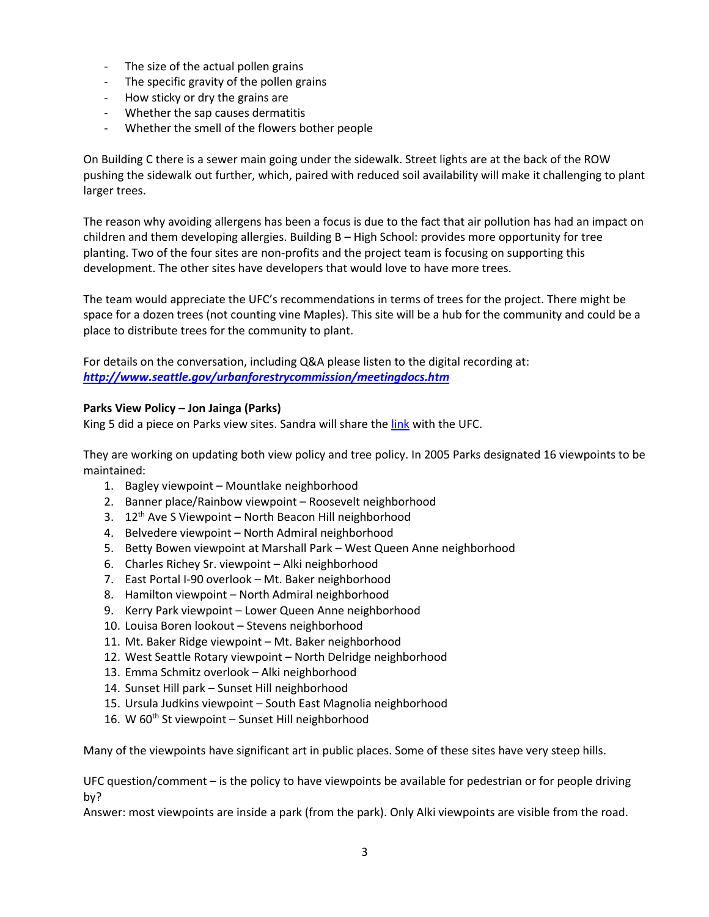- The size of the actual pollen grains
- The specific gravity of the pollen grains
- How sticky or dry the grains are
- Whether the sap causes dermatitis
- Whether the smell of the flowers bother people

On Building C there is a sewer main going under the sidewalk. Street lights are at the back of the ROW pushing the sidewalk out further, which, paired with reduced soil availability will make it challenging to plant larger trees.

The reason why avoiding allergens has been a focus is due to the fact that air pollution has had an impact on children and them developing allergies. Building B – High School: provides more opportunity for tree planting. Two of the four sites are non-profits and the project team is focusing on supporting this development. The other sites have developers that would love to have more trees.

The team would appreciate the UFC's recommendations in terms of trees for the project. There might be space for a dozen trees (not counting vine Maples). This site will be a hub for the community and could be a place to distribute trees for the community to plant.

For details on the conversation, including Q&A please listen to the digital recording at: *<http://www.seattle.gov/urbanforestrycommission/meetingdocs.htm>*

### **Parks View Policy – Jon Jainga (Parks)**

King 5 did a piece on Parks view sites. Sandra will share the [link](https://www.king5.com/video/news/local/viewpoints-vanishing-behind-overgrown-trees/281-8277369) with the UFC.

They are working on updating both view policy and tree policy. In 2005 Parks designated 16 viewpoints to be maintained:

- 1. Bagley viewpoint Mountlake neighborhood
- 2. Banner place/Rainbow viewpoint Roosevelt neighborhood
- 3.  $12^{th}$  Ave S Viewpoint North Beacon Hill neighborhood
- 4. Belvedere viewpoint North Admiral neighborhood
- 5. Betty Bowen viewpoint at Marshall Park West Queen Anne neighborhood
- 6. Charles Richey Sr. viewpoint Alki neighborhood
- 7. East Portal I-90 overlook Mt. Baker neighborhood
- 8. Hamilton viewpoint North Admiral neighborhood
- 9. Kerry Park viewpoint Lower Queen Anne neighborhood
- 10. Louisa Boren lookout Stevens neighborhood
- 11. Mt. Baker Ridge viewpoint Mt. Baker neighborhood
- 12. West Seattle Rotary viewpoint North Delridge neighborhood
- 13. Emma Schmitz overlook Alki neighborhood
- 14. Sunset Hill park Sunset Hill neighborhood
- 15. Ursula Judkins viewpoint South East Magnolia neighborhood
- 16. W 60<sup>th</sup> St viewpoint Sunset Hill neighborhood

Many of the viewpoints have significant art in public places. Some of these sites have very steep hills.

UFC question/comment – is the policy to have viewpoints be available for pedestrian or for people driving by?

Answer: most viewpoints are inside a park (from the park). Only Alki viewpoints are visible from the road.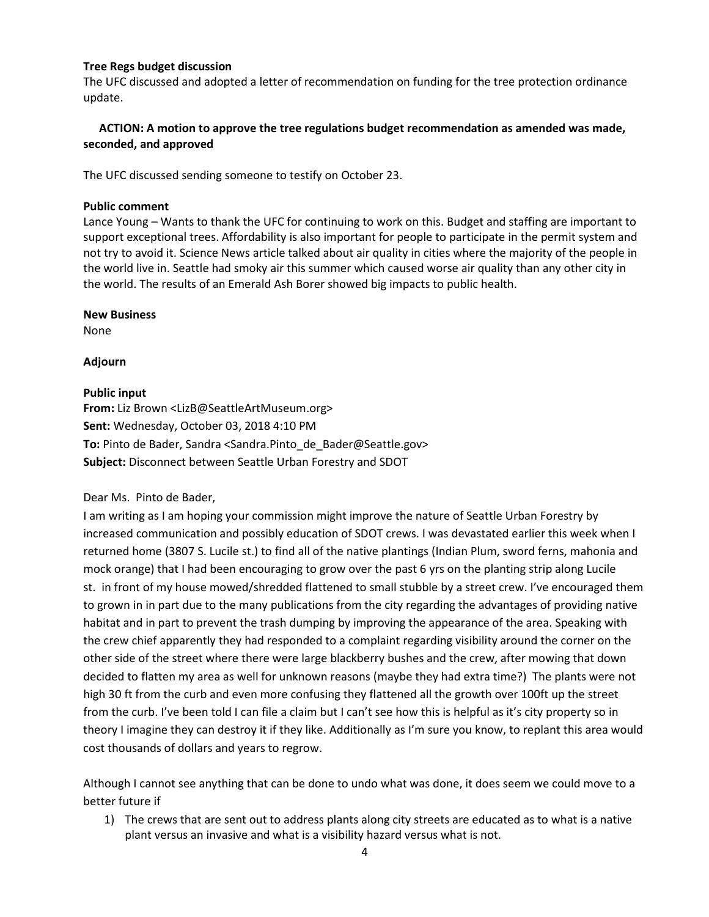### **Tree Regs budget discussion**

The UFC discussed and adopted a letter of recommendation on funding for the tree protection ordinance update.

## **ACTION: A motion to approve the tree regulations budget recommendation as amended was made, seconded, and approved**

The UFC discussed sending someone to testify on October 23.

### **Public comment**

Lance Young – Wants to thank the UFC for continuing to work on this. Budget and staffing are important to support exceptional trees. Affordability is also important for people to participate in the permit system and not try to avoid it. Science News article talked about air quality in cities where the majority of the people in the world live in. Seattle had smoky air this summer which caused worse air quality than any other city in the world. The results of an Emerald Ash Borer showed big impacts to public health.

### **New Business**

None

### **Adjourn**

### **Public input**

**From:** Liz Brown <LizB@SeattleArtMuseum.org> **Sent:** Wednesday, October 03, 2018 4:10 PM **To:** Pinto de Bader, Sandra <Sandra.Pinto\_de\_Bader@Seattle.gov> **Subject:** Disconnect between Seattle Urban Forestry and SDOT

Dear Ms. Pinto de Bader,

I am writing as I am hoping your commission might improve the nature of Seattle Urban Forestry by increased communication and possibly education of SDOT crews. I was devastated earlier this week when I returned home (3807 S. Lucile st.) to find all of the native plantings (Indian Plum, sword ferns, mahonia and mock orange) that I had been encouraging to grow over the past 6 yrs on the planting strip along Lucile st. in front of my house mowed/shredded flattened to small stubble by a street crew. I've encouraged them to grown in in part due to the many publications from the city regarding the advantages of providing native habitat and in part to prevent the trash dumping by improving the appearance of the area. Speaking with the crew chief apparently they had responded to a complaint regarding visibility around the corner on the other side of the street where there were large blackberry bushes and the crew, after mowing that down decided to flatten my area as well for unknown reasons (maybe they had extra time?) The plants were not high 30 ft from the curb and even more confusing they flattened all the growth over 100ft up the street from the curb. I've been told I can file a claim but I can't see how this is helpful as it's city property so in theory I imagine they can destroy it if they like. Additionally as I'm sure you know, to replant this area would cost thousands of dollars and years to regrow.

Although I cannot see anything that can be done to undo what was done, it does seem we could move to a better future if

1) The crews that are sent out to address plants along city streets are educated as to what is a native plant versus an invasive and what is a visibility hazard versus what is not.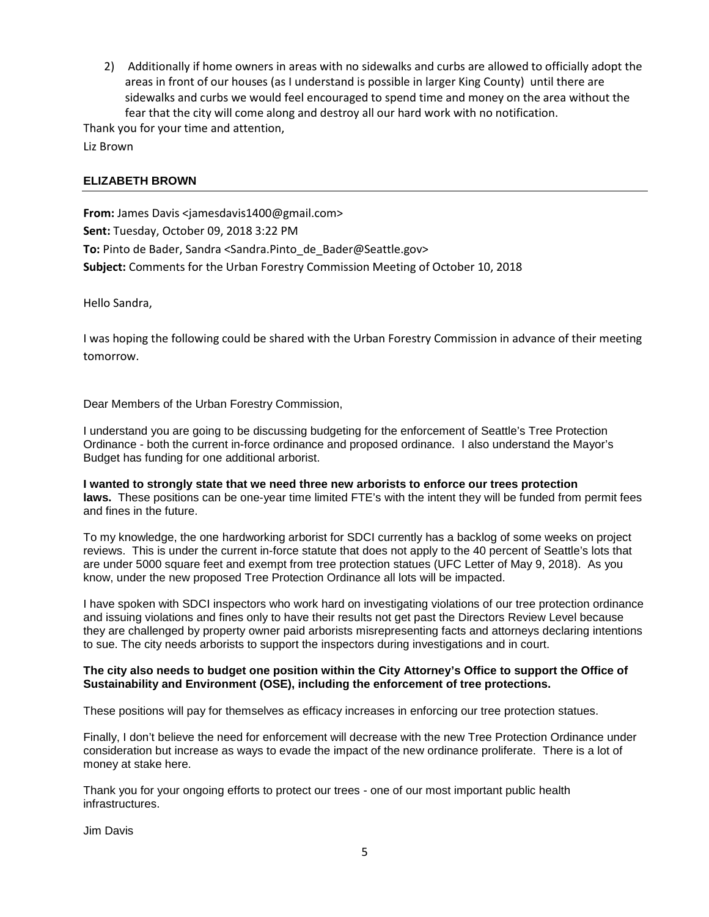2) Additionally if home owners in areas with no sidewalks and curbs are allowed to officially adopt the areas in front of our houses (as I understand is possible in larger King County) until there are sidewalks and curbs we would feel encouraged to spend time and money on the area without the fear that the city will come along and destroy all our hard work with no notification.

Thank you for your time and attention, Liz Brown

### **ELIZABETH BROWN**

**From:** James Davis <jamesdavis1400@gmail.com> **Sent:** Tuesday, October 09, 2018 3:22 PM To: Pinto de Bader, Sandra <Sandra.Pinto de Bader@Seattle.gov> **Subject:** Comments for the Urban Forestry Commission Meeting of October 10, 2018

Hello Sandra,

I was hoping the following could be shared with the Urban Forestry Commission in advance of their meeting tomorrow.

Dear Members of the Urban Forestry Commission,

I understand you are going to be discussing budgeting for the enforcement of Seattle's Tree Protection Ordinance - both the current in-force ordinance and proposed ordinance. I also understand the Mayor's Budget has funding for one additional arborist.

**I wanted to strongly state that we need three new arborists to enforce our trees protection laws.** These positions can be one-year time limited FTE's with the intent they will be funded from permit fees and fines in the future.

To my knowledge, the one hardworking arborist for SDCI currently has a backlog of some weeks on project reviews. This is under the current in-force statute that does not apply to the 40 percent of Seattle's lots that are under 5000 square feet and exempt from tree protection statues (UFC Letter of May 9, 2018). As you know, under the new proposed Tree Protection Ordinance all lots will be impacted.

I have spoken with SDCI inspectors who work hard on investigating violations of our tree protection ordinance and issuing violations and fines only to have their results not get past the Directors Review Level because they are challenged by property owner paid arborists misrepresenting facts and attorneys declaring intentions to sue. The city needs arborists to support the inspectors during investigations and in court.

#### **The city also needs to budget one position within the City Attorney's Office to support the Office of Sustainability and Environment (OSE), including the enforcement of tree protections.**

These positions will pay for themselves as efficacy increases in enforcing our tree protection statues.

Finally, I don't believe the need for enforcement will decrease with the new Tree Protection Ordinance under consideration but increase as ways to evade the impact of the new ordinance proliferate. There is a lot of money at stake here.

Thank you for your ongoing efforts to protect our trees - one of our most important public health infrastructures.

Jim Davis